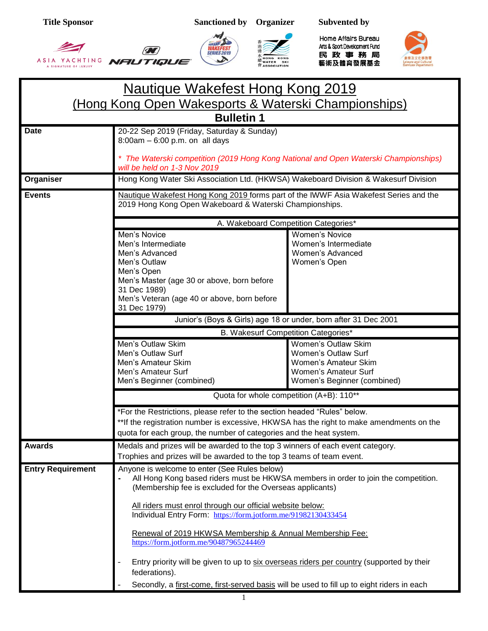**SERIES 2019** 







Home Affairs Bureau Arts & Sport Development Fund 民政事務局 藝術及體育發展基金



## Nautique Wakefest Hong Kong 2019 (Hong Kong Open Wakesports & Waterski Championships) **Bulletin 1** Date 20-22 Sep 2019 (Friday, Saturday & Sunday) 8:00am – 6:00 p.m. on all days *\* The Waterski competition (2019 Hong Kong National and Open Waterski Championships) will be held on 1-3 Nov 2019* **Organiser Hong Kong Water Ski Association Ltd. (HKWSA) Wakeboard Division & Wakesurf Division Events** Nautique Wakefest Hong Kong 2019 forms part of the IWWF Asia Wakefest Series and the 2019 Hong Kong Open Wakeboard & Waterski Championships. A. Wakeboard Competition Categories\* Men's Novice Men's Intermediate Men's Advanced Men's Outlaw Men's Open Men's Master (age 30 or above, born before 31 Dec 1989) Men's Veteran (age 40 or above, born before 31 Dec 1979) Women's Novice Women's Intermediate Women's Advanced Women's Open Junior's (Boys & Girls) age 18 or under, born after 31 Dec 2001 B. Wakesurf Competition Categories\* Men's Outlaw Skim Men's Outlaw Surf Men's Amateur Skim Men's Amateur Surf Men's Beginner (combined) Women's Outlaw Skim Women's Outlaw Surf Women's Amateur Skim Women's Amateur Surf Women's Beginner (combined) Quota for whole competition (A+B): 110\*\* \*For the Restrictions, please refer to the section headed "Rules" below. \*\*If the registration number is excessive, HKWSA has the right to make amendments on the quota for each group, the number of categories and the heat system. **Awards** Medals and prizes will be awarded to the top 3 winners of each event category. Trophies and prizes will be awarded to the top 3 teams of team event. **Entry Requirement** Anyone is welcome to enter (See Rules below) **-** All Hong Kong based riders must be HKWSA members in order to join the competition. (Membership fee is excluded for the Overseas applicants) All riders must enrol through our official website below: Individual Entry Form: <https://form.jotform.me/91982130433454> Renewal of 2019 HKWSA Membership & Annual Membership Fee: <https://form.jotform.me/90487965244469> - Entry priority will be given to up to six overseas riders per country (supported by their federations). Secondly, a first-come, first-served basis will be used to fill up to eight riders in each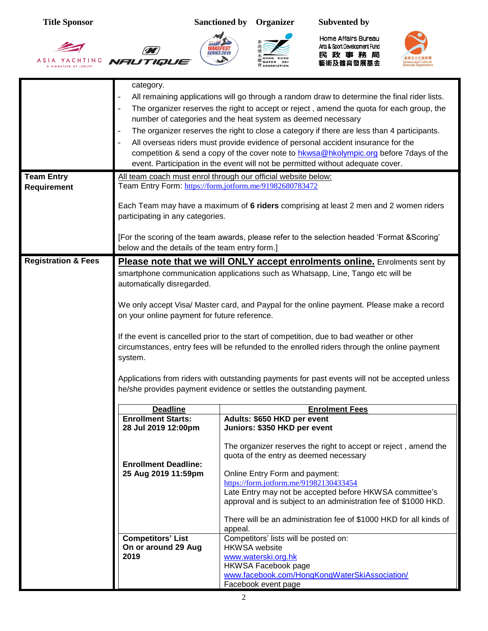$\sum$ 









Home Affairs Bureau Arts& Sport Development Fund<br>民政事務局<br>藝術及體育發展基金



|                                | category.                                                                                                                                                                 |                                                                                                                                                                                           |  |  |
|--------------------------------|---------------------------------------------------------------------------------------------------------------------------------------------------------------------------|-------------------------------------------------------------------------------------------------------------------------------------------------------------------------------------------|--|--|
|                                |                                                                                                                                                                           | All remaining applications will go through a random draw to determine the final rider lists.<br>The organizer reserves the right to accept or reject, amend the quota for each group, the |  |  |
|                                |                                                                                                                                                                           | number of categories and the heat system as deemed necessary                                                                                                                              |  |  |
|                                | The organizer reserves the right to close a category if there are less than 4 participants.                                                                               |                                                                                                                                                                                           |  |  |
|                                | All overseas riders must provide evidence of personal accident insurance for the                                                                                          |                                                                                                                                                                                           |  |  |
|                                | competition & send a copy of the cover note to hkwsa@hkolympic.org before 7days of the<br>event. Participation in the event will not be permitted without adequate cover. |                                                                                                                                                                                           |  |  |
| <b>Team Entry</b>              |                                                                                                                                                                           | All team coach must enrol through our official website below:                                                                                                                             |  |  |
| Requirement                    |                                                                                                                                                                           | Team Entry Form: https://form.jotform.me/91982680783472                                                                                                                                   |  |  |
|                                | Each Team may have a maximum of 6 riders comprising at least 2 men and 2 women riders<br>participating in any categories.                                                 |                                                                                                                                                                                           |  |  |
|                                | [For the scoring of the team awards, please refer to the selection headed 'Format & Scoring'<br>below and the details of the team entry form.]                            |                                                                                                                                                                                           |  |  |
| <b>Registration &amp; Fees</b> |                                                                                                                                                                           | Please note that we will ONLY accept enrolments online. Enrolments sent by                                                                                                                |  |  |
|                                | automatically disregarded.                                                                                                                                                | smartphone communication applications such as Whatsapp, Line, Tango etc will be                                                                                                           |  |  |
|                                |                                                                                                                                                                           |                                                                                                                                                                                           |  |  |
|                                | on your online payment for future reference.                                                                                                                              | We only accept Visa/ Master card, and Paypal for the online payment. Please make a record                                                                                                 |  |  |
|                                |                                                                                                                                                                           | If the event is cancelled prior to the start of competition, due to bad weather or other                                                                                                  |  |  |
|                                | circumstances, entry fees will be refunded to the enrolled riders through the online payment                                                                              |                                                                                                                                                                                           |  |  |
|                                | system.                                                                                                                                                                   |                                                                                                                                                                                           |  |  |
|                                |                                                                                                                                                                           | Applications from riders with outstanding payments for past events will not be accepted unless                                                                                            |  |  |
|                                |                                                                                                                                                                           | he/she provides payment evidence or settles the outstanding payment.                                                                                                                      |  |  |
|                                | <b>Deadline</b>                                                                                                                                                           | <b>Enrolment Fees</b>                                                                                                                                                                     |  |  |
|                                | <b>Enrollment Starts:</b>                                                                                                                                                 | Adults: \$650 HKD per event                                                                                                                                                               |  |  |
|                                | 28 Jul 2019 12:00pm                                                                                                                                                       | Juniors: \$350 HKD per event                                                                                                                                                              |  |  |
|                                |                                                                                                                                                                           | The organizer reserves the right to accept or reject, amend the<br>quota of the entry as deemed necessary                                                                                 |  |  |
|                                | <b>Enrollment Deadline:</b><br>25 Aug 2019 11:59pm                                                                                                                        | Online Entry Form and payment:                                                                                                                                                            |  |  |
|                                |                                                                                                                                                                           | https://form.jotform.me/91982130433454                                                                                                                                                    |  |  |
|                                |                                                                                                                                                                           | Late Entry may not be accepted before HKWSA committee's<br>approval and is subject to an administration fee of \$1000 HKD.                                                                |  |  |
|                                |                                                                                                                                                                           | There will be an administration fee of \$1000 HKD for all kinds of<br>appeal.                                                                                                             |  |  |
|                                | <b>Competitors' List</b>                                                                                                                                                  | Competitors' lists will be posted on:                                                                                                                                                     |  |  |
|                                | On or around 29 Aug<br>2019                                                                                                                                               | <b>HKWSA</b> website<br>www.waterski.org.hk                                                                                                                                               |  |  |
|                                |                                                                                                                                                                           | <b>HKWSA Facebook page</b>                                                                                                                                                                |  |  |
|                                |                                                                                                                                                                           | www.facebook.com/HongKongWaterSkiAssociation/<br>Facebook event page                                                                                                                      |  |  |
|                                |                                                                                                                                                                           |                                                                                                                                                                                           |  |  |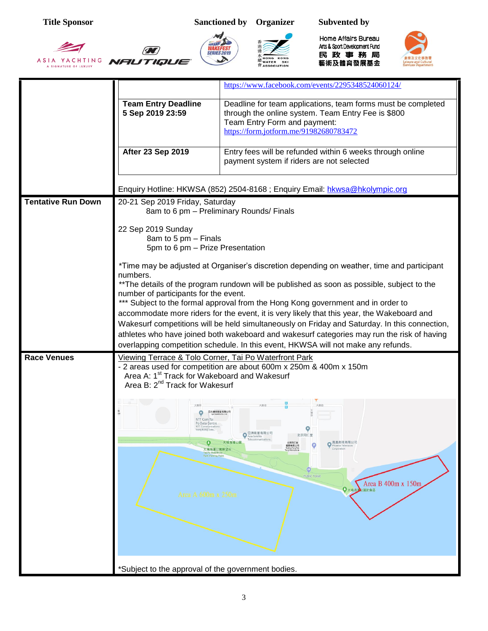香港滑

WAKEFEST

 $\sum$ 

Œ

ASIA YACHTING **NFILITIQLIE** 





Home Affairs Bureau Ats& Sport Development Fund<br>民政事務局<br>藝術及體育發展基金



|                           |                                                                                                                                                                 | https://www.facebook.com/events/2295348524060124/                                                                                                                                                                                                                                                                                                                                                                                                                                                                                                                                                                                                               |  |  |  |  |
|---------------------------|-----------------------------------------------------------------------------------------------------------------------------------------------------------------|-----------------------------------------------------------------------------------------------------------------------------------------------------------------------------------------------------------------------------------------------------------------------------------------------------------------------------------------------------------------------------------------------------------------------------------------------------------------------------------------------------------------------------------------------------------------------------------------------------------------------------------------------------------------|--|--|--|--|
|                           |                                                                                                                                                                 |                                                                                                                                                                                                                                                                                                                                                                                                                                                                                                                                                                                                                                                                 |  |  |  |  |
|                           | <b>Team Entry Deadline</b><br>5 Sep 2019 23:59                                                                                                                  | Deadline for team applications, team forms must be completed<br>through the online system. Team Entry Fee is \$800<br>Team Entry Form and payment:<br>https://form.jotform.me/91982680783472                                                                                                                                                                                                                                                                                                                                                                                                                                                                    |  |  |  |  |
|                           | <b>After 23 Sep 2019</b>                                                                                                                                        | Entry fees will be refunded within 6 weeks through online<br>payment system if riders are not selected                                                                                                                                                                                                                                                                                                                                                                                                                                                                                                                                                          |  |  |  |  |
|                           |                                                                                                                                                                 | Enquiry Hotline: HKWSA (852) 2504-8168 ; Enquiry Email: hkwsa@hkolympic.org                                                                                                                                                                                                                                                                                                                                                                                                                                                                                                                                                                                     |  |  |  |  |
| <b>Tentative Run Down</b> | 20-21 Sep 2019 Friday, Saturday<br>8am to 6 pm - Preliminary Rounds/ Finals                                                                                     |                                                                                                                                                                                                                                                                                                                                                                                                                                                                                                                                                                                                                                                                 |  |  |  |  |
|                           | 22 Sep 2019 Sunday<br>8am to 5 pm - Finals<br>5pm to 6 pm - Prize Presentation                                                                                  |                                                                                                                                                                                                                                                                                                                                                                                                                                                                                                                                                                                                                                                                 |  |  |  |  |
|                           | numbers.<br>number of participants for the event.                                                                                                               | *Time may be adjusted at Organiser's discretion depending on weather, time and participant<br>** The details of the program rundown will be published as soon as possible, subject to the<br>*** Subject to the formal approval from the Hong Kong government and in order to<br>accommodate more riders for the event, it is very likely that this year, the Wakeboard and<br>Wakesurf competitions will be held simultaneously on Friday and Saturday. In this connection,<br>athletes who have joined both wakeboard and wakesurf categories may run the risk of having<br>overlapping competition schedule. In this event, HKWSA will not make any refunds. |  |  |  |  |
| <b>Race Venues</b>        | Viewing Terrace & Tolo Corner, Tai Po Waterfront Park<br>Area A: 1 <sup>st</sup> Track for Wakeboard and Wakesurf<br>Area B: 2 <sup>nd</sup> Track for Wakesurf | - 2 areas used for competition are about 600m x 250m & 400m x 150m                                                                                                                                                                                                                                                                                                                                                                                                                                                                                                                                                                                              |  |  |  |  |
|                           | o<br>大埔海濱公園瞭望台<br>Tai Po Water<br>Park Viewing Poin<br>Area A 600m x 250m                                                                                       | 亞洲衛星有限公司<br>$\circ$<br>北京同仁堂<br>Asia Satellite<br>大埔海濱公園<br>●鳳凰衛視有限公司<br>北京同仁堂<br>图原有限公司<br>Bejing Tong Ren<br>internation<br>Corporation<br>$\circ$<br><b>Public Toliet</b><br>Area B 400m x 150m<br>◆大埔                                                                                                                                                                                                                                                                                                                                                                                                                                                       |  |  |  |  |
|                           | *Subject to the approval of the government bodies.                                                                                                              |                                                                                                                                                                                                                                                                                                                                                                                                                                                                                                                                                                                                                                                                 |  |  |  |  |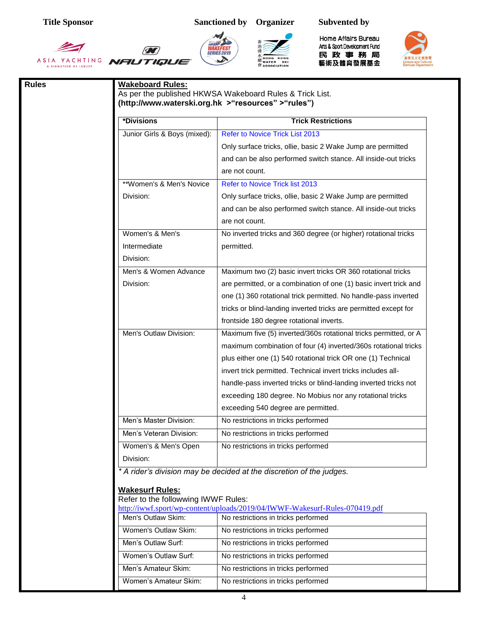香港滑

WAKEFEST

 $\sum$ 

Œ

ASIA YACHTING **NFILITIQLIE** 



**水<br>***龍* **WATER** SKI<br>會 ASSOCIATION

Home Affairs Bureau Ats& Sport Development Fund<br>民政事務局<br>藝術及體育發展基金



| *Divisions                          | <b>Trick Restrictions</b>                                                   |  |  |
|-------------------------------------|-----------------------------------------------------------------------------|--|--|
| Junior Girls & Boys (mixed):        | <b>Refer to Novice Trick List 2013</b>                                      |  |  |
|                                     | Only surface tricks, ollie, basic 2 Wake Jump are permitted                 |  |  |
|                                     | and can be also performed switch stance. All inside-out tricks              |  |  |
|                                     | are not count.                                                              |  |  |
| **Women's & Men's Novice            | Refer to Novice Trick list 2013                                             |  |  |
| Division:                           | Only surface tricks, ollie, basic 2 Wake Jump are permitted                 |  |  |
|                                     | and can be also performed switch stance. All inside-out tricks              |  |  |
|                                     | are not count.                                                              |  |  |
| Women's & Men's                     | No inverted tricks and 360 degree (or higher) rotational tricks             |  |  |
| Intermediate                        | permitted.                                                                  |  |  |
| Division:                           |                                                                             |  |  |
| Men's & Women Advance               | Maximum two (2) basic invert tricks OR 360 rotational tricks                |  |  |
| Division:                           | are permitted, or a combination of one (1) basic invert trick and           |  |  |
|                                     | one (1) 360 rotational trick permitted. No handle-pass inverted             |  |  |
|                                     | tricks or blind-landing inverted tricks are permitted except for            |  |  |
|                                     | frontside 180 degree rotational inverts.                                    |  |  |
| Men's Outlaw Division:              | Maximum five (5) inverted/360s rotational tricks permitted, or A            |  |  |
|                                     | maximum combination of four (4) inverted/360s rotational tricks             |  |  |
|                                     | plus either one (1) 540 rotational trick OR one (1) Technical               |  |  |
|                                     | invert trick permitted. Technical invert tricks includes all-               |  |  |
|                                     | handle-pass inverted tricks or blind-landing inverted tricks not            |  |  |
|                                     | exceeding 180 degree. No Mobius nor any rotational tricks                   |  |  |
|                                     | exceeding 540 degree are permitted.                                         |  |  |
| Men's Master Division:              | No restrictions in tricks performed                                         |  |  |
| Men's Veteran Division:             | No restrictions in tricks performed                                         |  |  |
| Women's & Men's Open                | No restrictions in tricks performed                                         |  |  |
| Division:                           |                                                                             |  |  |
|                                     | * A rider's division may be decided at the discretion of the judges.        |  |  |
| <b>Wakesurf Rules:</b>              |                                                                             |  |  |
| Refer to the followwing IWWF Rules: |                                                                             |  |  |
|                                     | http://iwwf.sport/wp-content/uploads/2019/04/IWWF-Wakesurf-Rules-070419.pdf |  |  |
| Men's Outlaw Skim:                  | No restrictions in tricks performed                                         |  |  |
| Women's Outlaw Skim:                | No restrictions in tricks performed                                         |  |  |
| Men's Outlaw Surf:                  | No restrictions in tricks performed                                         |  |  |
| Women's Outlaw Surf:                | No restrictions in tricks performed                                         |  |  |
| Men's Amateur Skim:                 | No restrictions in tricks performed                                         |  |  |
| Women's Amateur Skim:               | No restrictions in tricks performed                                         |  |  |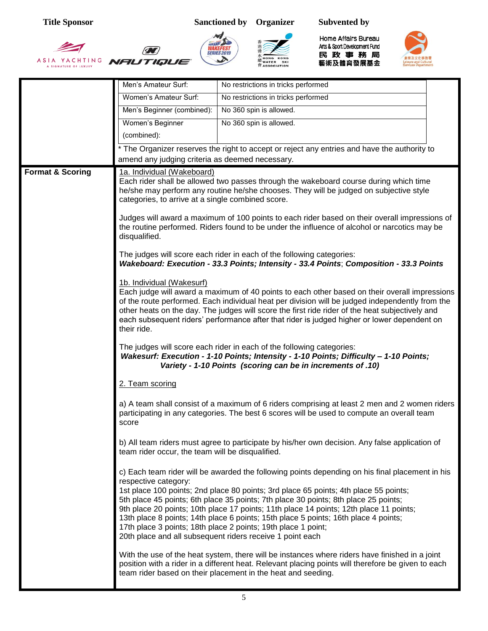







Home Affairs Bureau Arts & Sport Development Fund 民政事務局<br><sub>藝術及體育發展基金</sub>



|                             | Men's Amateur Surf:                                                                                                                                                                                                                                                                                                                                                                                                                            | No restrictions in tricks performed                                                                                                                                                                                                                                                                                                                                                                                                                                                        |  |  |  |  |
|-----------------------------|------------------------------------------------------------------------------------------------------------------------------------------------------------------------------------------------------------------------------------------------------------------------------------------------------------------------------------------------------------------------------------------------------------------------------------------------|--------------------------------------------------------------------------------------------------------------------------------------------------------------------------------------------------------------------------------------------------------------------------------------------------------------------------------------------------------------------------------------------------------------------------------------------------------------------------------------------|--|--|--|--|
|                             | Women's Amateur Surf:                                                                                                                                                                                                                                                                                                                                                                                                                          | No restrictions in tricks performed                                                                                                                                                                                                                                                                                                                                                                                                                                                        |  |  |  |  |
|                             | Men's Beginner (combined):                                                                                                                                                                                                                                                                                                                                                                                                                     | No 360 spin is allowed.                                                                                                                                                                                                                                                                                                                                                                                                                                                                    |  |  |  |  |
|                             | Women's Beginner                                                                                                                                                                                                                                                                                                                                                                                                                               | No 360 spin is allowed.                                                                                                                                                                                                                                                                                                                                                                                                                                                                    |  |  |  |  |
|                             | (combined):                                                                                                                                                                                                                                                                                                                                                                                                                                    |                                                                                                                                                                                                                                                                                                                                                                                                                                                                                            |  |  |  |  |
|                             |                                                                                                                                                                                                                                                                                                                                                                                                                                                | * The Organizer reserves the right to accept or reject any entries and have the authority to                                                                                                                                                                                                                                                                                                                                                                                               |  |  |  |  |
|                             | amend any judging criteria as deemed necessary.                                                                                                                                                                                                                                                                                                                                                                                                |                                                                                                                                                                                                                                                                                                                                                                                                                                                                                            |  |  |  |  |
| <b>Format &amp; Scoring</b> | 1a. Individual (Wakeboard)<br>categories, to arrive at a single combined score.                                                                                                                                                                                                                                                                                                                                                                | Each rider shall be allowed two passes through the wakeboard course during which time<br>he/she may perform any routine he/she chooses. They will be judged on subjective style                                                                                                                                                                                                                                                                                                            |  |  |  |  |
|                             | Judges will award a maximum of 100 points to each rider based on their overall impressions of<br>the routine performed. Riders found to be under the influence of alcohol or narcotics may be<br>disqualified.                                                                                                                                                                                                                                 |                                                                                                                                                                                                                                                                                                                                                                                                                                                                                            |  |  |  |  |
|                             |                                                                                                                                                                                                                                                                                                                                                                                                                                                | The judges will score each rider in each of the following categories:<br>Wakeboard: Execution - 33.3 Points; Intensity - 33.4 Points; Composition - 33.3 Points                                                                                                                                                                                                                                                                                                                            |  |  |  |  |
|                             | 1b. Individual (Wakesurf)<br>Each judge will award a maximum of 40 points to each other based on their overall impressions<br>of the route performed. Each individual heat per division will be judged independently from the<br>other heats on the day. The judges will score the first ride rider of the heat subjectively and<br>each subsequent riders' performance after that rider is judged higher or lower dependent on<br>their ride. |                                                                                                                                                                                                                                                                                                                                                                                                                                                                                            |  |  |  |  |
|                             | The judges will score each rider in each of the following categories:<br>Wakesurf: Execution - 1-10 Points; Intensity - 1-10 Points; Difficulty - 1-10 Points;<br>Variety - 1-10 Points (scoring can be in increments of .10)                                                                                                                                                                                                                  |                                                                                                                                                                                                                                                                                                                                                                                                                                                                                            |  |  |  |  |
|                             | 2. Team scoring                                                                                                                                                                                                                                                                                                                                                                                                                                |                                                                                                                                                                                                                                                                                                                                                                                                                                                                                            |  |  |  |  |
|                             | score                                                                                                                                                                                                                                                                                                                                                                                                                                          | a) A team shall consist of a maximum of 6 riders comprising at least 2 men and 2 women riders<br>participating in any categories. The best 6 scores will be used to compute an overall team                                                                                                                                                                                                                                                                                                |  |  |  |  |
|                             | team rider occur, the team will be disqualified.                                                                                                                                                                                                                                                                                                                                                                                               | b) All team riders must agree to participate by his/her own decision. Any false application of                                                                                                                                                                                                                                                                                                                                                                                             |  |  |  |  |
|                             | respective category:                                                                                                                                                                                                                                                                                                                                                                                                                           | c) Each team rider will be awarded the following points depending on his final placement in his                                                                                                                                                                                                                                                                                                                                                                                            |  |  |  |  |
|                             |                                                                                                                                                                                                                                                                                                                                                                                                                                                | 1st place 100 points; 2nd place 80 points; 3rd place 65 points; 4th place 55 points;<br>5th place 45 points; 6th place 35 points; 7th place 30 points; 8th place 25 points;<br>9th place 20 points; 10th place 17 points; 11th place 14 points; 12th place 11 points;<br>13th place 8 points; 14th place 6 points; 15th place 5 points; 16th place 4 points;<br>17th place 3 points; 18th place 2 points; 19th place 1 point;<br>20th place and all subsequent riders receive 1 point each |  |  |  |  |
|                             |                                                                                                                                                                                                                                                                                                                                                                                                                                                | With the use of the heat system, there will be instances where riders have finished in a joint<br>position with a rider in a different heat. Relevant placing points will therefore be given to each<br>team rider based on their placement in the heat and seeding.                                                                                                                                                                                                                       |  |  |  |  |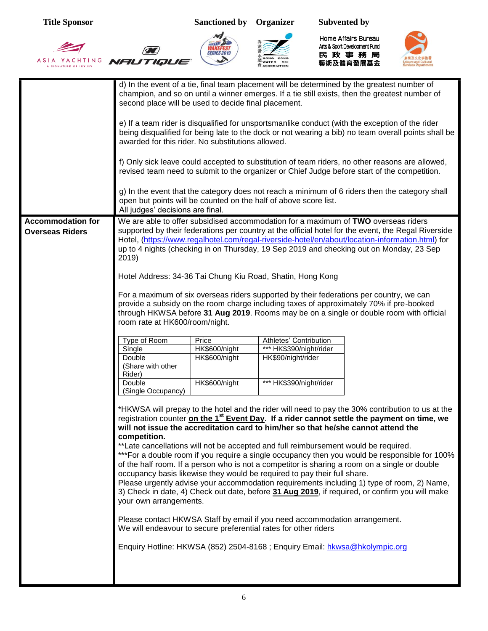





Home Affairs Bureau Ats& Sport Development Fund<br>民政事務局<br>藝術及體育發展基金



|                          | d) In the event of a tie, final team placement will be determined by the greatest number of<br>champion, and so on until a winner emerges. If a tie still exists, then the greatest number of<br>second place will be used to decide final placement.       |               |                                                                                   |                                                                                                                                                                                                 |  |
|--------------------------|-------------------------------------------------------------------------------------------------------------------------------------------------------------------------------------------------------------------------------------------------------------|---------------|-----------------------------------------------------------------------------------|-------------------------------------------------------------------------------------------------------------------------------------------------------------------------------------------------|--|
|                          | e) If a team rider is disqualified for unsportsmanlike conduct (with the exception of the rider<br>being disqualified for being late to the dock or not wearing a bib) no team overall points shall be<br>awarded for this rider. No substitutions allowed. |               |                                                                                   |                                                                                                                                                                                                 |  |
|                          |                                                                                                                                                                                                                                                             |               |                                                                                   | f) Only sick leave could accepted to substitution of team riders, no other reasons are allowed,<br>revised team need to submit to the organizer or Chief Judge before start of the competition. |  |
|                          | g) In the event that the category does not reach a minimum of 6 riders then the category shall<br>open but points will be counted on the half of above score list.<br>All judges' decisions are final.                                                      |               |                                                                                   |                                                                                                                                                                                                 |  |
| <b>Accommodation for</b> |                                                                                                                                                                                                                                                             |               |                                                                                   | We are able to offer subsidised accommodation for a maximum of TWO overseas riders                                                                                                              |  |
|                          |                                                                                                                                                                                                                                                             |               |                                                                                   |                                                                                                                                                                                                 |  |
| <b>Overseas Riders</b>   |                                                                                                                                                                                                                                                             |               |                                                                                   | supported by their federations per country at the official hotel for the event, the Regal Riverside                                                                                             |  |
|                          |                                                                                                                                                                                                                                                             |               |                                                                                   | Hotel, (https://www.regalhotel.com/regal-riverside-hotel/en/about/location-information.html) for                                                                                                |  |
|                          |                                                                                                                                                                                                                                                             |               |                                                                                   | up to 4 nights (checking in on Thursday, 19 Sep 2019 and checking out on Monday, 23 Sep                                                                                                         |  |
|                          | 2019)                                                                                                                                                                                                                                                       |               |                                                                                   |                                                                                                                                                                                                 |  |
|                          |                                                                                                                                                                                                                                                             |               |                                                                                   |                                                                                                                                                                                                 |  |
|                          |                                                                                                                                                                                                                                                             |               | Hotel Address: 34-36 Tai Chung Kiu Road, Shatin, Hong Kong                        |                                                                                                                                                                                                 |  |
|                          |                                                                                                                                                                                                                                                             |               |                                                                                   | For a maximum of six overseas riders supported by their federations per country, we can                                                                                                         |  |
|                          |                                                                                                                                                                                                                                                             |               |                                                                                   | provide a subsidy on the room charge including taxes of approximately 70% if pre-booked                                                                                                         |  |
|                          |                                                                                                                                                                                                                                                             |               |                                                                                   | through HKWSA before 31 Aug 2019. Rooms may be on a single or double room with official                                                                                                         |  |
|                          | room rate at HK600/room/night.                                                                                                                                                                                                                              |               |                                                                                   |                                                                                                                                                                                                 |  |
|                          |                                                                                                                                                                                                                                                             |               |                                                                                   |                                                                                                                                                                                                 |  |
|                          | Type of Room                                                                                                                                                                                                                                                | Price         | Athletes' Contribution                                                            |                                                                                                                                                                                                 |  |
|                          | Single                                                                                                                                                                                                                                                      | HK\$600/night | *** HK\$390/night/rider                                                           |                                                                                                                                                                                                 |  |
|                          | Double                                                                                                                                                                                                                                                      | HK\$600/night | HK\$90/night/rider                                                                |                                                                                                                                                                                                 |  |
|                          | (Share with other<br>Rider)                                                                                                                                                                                                                                 |               |                                                                                   |                                                                                                                                                                                                 |  |
|                          | Double                                                                                                                                                                                                                                                      | HK\$600/night | *** HK\$390/night/rider                                                           |                                                                                                                                                                                                 |  |
|                          | (Single Occupancy)                                                                                                                                                                                                                                          |               |                                                                                   |                                                                                                                                                                                                 |  |
|                          |                                                                                                                                                                                                                                                             |               |                                                                                   |                                                                                                                                                                                                 |  |
|                          | *HKWSA will prepay to the hotel and the rider will need to pay the 30% contribution to us at the                                                                                                                                                            |               |                                                                                   |                                                                                                                                                                                                 |  |
|                          |                                                                                                                                                                                                                                                             |               |                                                                                   | registration counter on the 1 <sup>st</sup> Event Day. If a rider cannot settle the payment on time, we                                                                                         |  |
|                          |                                                                                                                                                                                                                                                             |               | will not issue the accreditation card to him/her so that he/she cannot attend the |                                                                                                                                                                                                 |  |
|                          | competition.                                                                                                                                                                                                                                                |               |                                                                                   |                                                                                                                                                                                                 |  |
|                          | ** Late cancellations will not be accepted and full reimbursement would be required.                                                                                                                                                                        |               |                                                                                   |                                                                                                                                                                                                 |  |
|                          | *** For a double room if you require a single occupancy then you would be responsible for 100%                                                                                                                                                              |               |                                                                                   |                                                                                                                                                                                                 |  |
|                          | of the half room. If a person who is not a competitor is sharing a room on a single or double                                                                                                                                                               |               |                                                                                   |                                                                                                                                                                                                 |  |
|                          | occupancy basis likewise they would be required to pay their full share.                                                                                                                                                                                    |               |                                                                                   |                                                                                                                                                                                                 |  |
|                          | Please urgently advise your accommodation requirements including 1) type of room, 2) Name,                                                                                                                                                                  |               |                                                                                   |                                                                                                                                                                                                 |  |
|                          | 3) Check in date, 4) Check out date, before 31 Aug 2019, if required, or confirm you will make<br>your own arrangements.                                                                                                                                    |               |                                                                                   |                                                                                                                                                                                                 |  |
|                          |                                                                                                                                                                                                                                                             |               |                                                                                   |                                                                                                                                                                                                 |  |
|                          | Please contact HKWSA Staff by email if you need accommodation arrangement.                                                                                                                                                                                  |               |                                                                                   |                                                                                                                                                                                                 |  |
|                          | We will endeavour to secure preferential rates for other riders                                                                                                                                                                                             |               |                                                                                   |                                                                                                                                                                                                 |  |
|                          |                                                                                                                                                                                                                                                             |               | Enquiry Hotline: HKWSA (852) 2504-8168 ; Enquiry Email: hkwsa@hkolympic.org       |                                                                                                                                                                                                 |  |
|                          |                                                                                                                                                                                                                                                             |               |                                                                                   |                                                                                                                                                                                                 |  |
|                          |                                                                                                                                                                                                                                                             |               |                                                                                   |                                                                                                                                                                                                 |  |
|                          |                                                                                                                                                                                                                                                             |               |                                                                                   |                                                                                                                                                                                                 |  |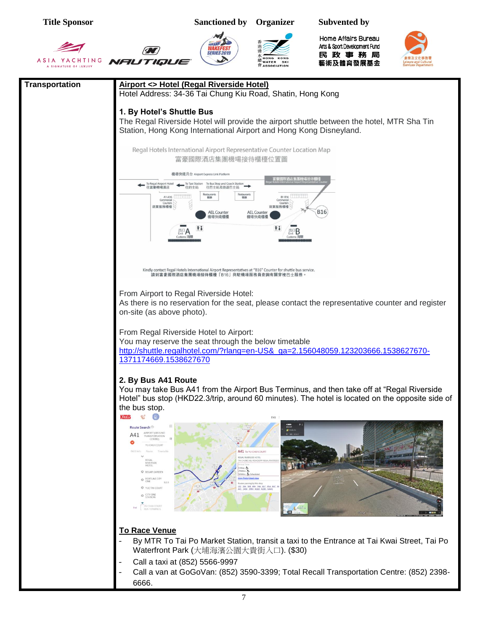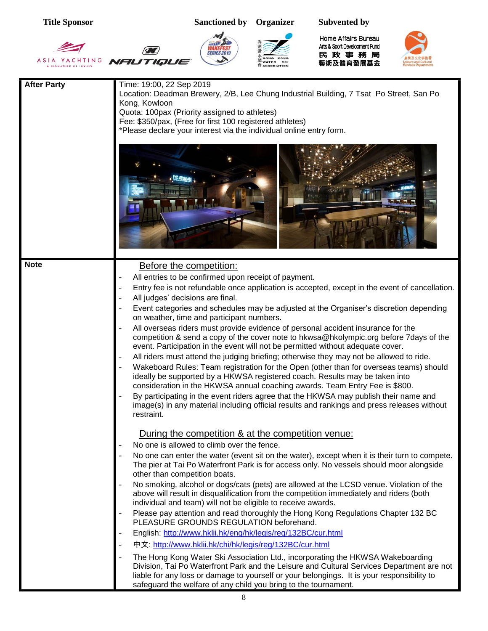| <b>Title Sponsor</b> |                                                                                                                                                                                                                               | <b>Sanctioned by</b>                                                                                                                                                                                                                                                                                                                                                                                                                                                                                           | Organizer                   | <b>Subvented by</b>                                                                                                                                                                                                                                                                                                                                                                                                                                                                                                                                                                                                                                                                                                                                                                                                                                                                                                                                                                                                                                                                                                                                                                                                                                                                                                                                                                                                                                                                                                                                                                                                                                                                                                                                     |  |
|----------------------|-------------------------------------------------------------------------------------------------------------------------------------------------------------------------------------------------------------------------------|----------------------------------------------------------------------------------------------------------------------------------------------------------------------------------------------------------------------------------------------------------------------------------------------------------------------------------------------------------------------------------------------------------------------------------------------------------------------------------------------------------------|-----------------------------|---------------------------------------------------------------------------------------------------------------------------------------------------------------------------------------------------------------------------------------------------------------------------------------------------------------------------------------------------------------------------------------------------------------------------------------------------------------------------------------------------------------------------------------------------------------------------------------------------------------------------------------------------------------------------------------------------------------------------------------------------------------------------------------------------------------------------------------------------------------------------------------------------------------------------------------------------------------------------------------------------------------------------------------------------------------------------------------------------------------------------------------------------------------------------------------------------------------------------------------------------------------------------------------------------------------------------------------------------------------------------------------------------------------------------------------------------------------------------------------------------------------------------------------------------------------------------------------------------------------------------------------------------------------------------------------------------------------------------------------------------------|--|
| YACHTING             | NAUTIQUE                                                                                                                                                                                                                      | <b>SERIES 2019</b>                                                                                                                                                                                                                                                                                                                                                                                                                                                                                             | WATER<br><b>ASSOCIATION</b> | Home Affairs Bureau<br>Arts & Sport Development Fund<br>民 政 事 務 局<br>藝術及體育發展基金                                                                                                                                                                                                                                                                                                                                                                                                                                                                                                                                                                                                                                                                                                                                                                                                                                                                                                                                                                                                                                                                                                                                                                                                                                                                                                                                                                                                                                                                                                                                                                                                                                                                          |  |
| <b>After Party</b>   | Time: 19:00, 22 Sep 2019<br>Kong, Kowloon<br>Quota: 100pax (Priority assigned to athletes)<br>Fee: \$350/pax, (Free for first 100 registered athletes)<br>*Please declare your interest via the individual online entry form. |                                                                                                                                                                                                                                                                                                                                                                                                                                                                                                                |                             | Location: Deadman Brewery, 2/B, Lee Chung Industrial Building, 7 Tsat Po Street, San Po                                                                                                                                                                                                                                                                                                                                                                                                                                                                                                                                                                                                                                                                                                                                                                                                                                                                                                                                                                                                                                                                                                                                                                                                                                                                                                                                                                                                                                                                                                                                                                                                                                                                 |  |
|                      |                                                                                                                                                                                                                               |                                                                                                                                                                                                                                                                                                                                                                                                                                                                                                                |                             |                                                                                                                                                                                                                                                                                                                                                                                                                                                                                                                                                                                                                                                                                                                                                                                                                                                                                                                                                                                                                                                                                                                                                                                                                                                                                                                                                                                                                                                                                                                                                                                                                                                                                                                                                         |  |
| <b>Note</b>          | Before the competition:<br>All judges' decisions are final.<br>restraint.<br>other than competition boats.<br>-<br>$\overline{\phantom{0}}$                                                                                   | All entries to be confirmed upon receipt of payment.<br>on weather, time and participant numbers.<br>During the competition & at the competition venue:<br>No one is allowed to climb over the fence.<br>individual and team) will not be eligible to receive awards.<br>PLEASURE GROUNDS REGULATION beforehand.<br>English: http://www.hklii.hk/eng/hk/legis/reg/132BC/cur.html<br>中文: http://www.hklii.hk/chi/hk/legis/reg/132BC/cur.html<br>safeguard the welfare of any child you bring to the tournament. |                             | Entry fee is not refundable once application is accepted, except in the event of cancellation.<br>Event categories and schedules may be adjusted at the Organiser's discretion depending<br>All overseas riders must provide evidence of personal accident insurance for the<br>competition & send a copy of the cover note to hkwsa@hkolympic.org before 7days of the<br>event. Participation in the event will not be permitted without adequate cover.<br>All riders must attend the judging briefing; otherwise they may not be allowed to ride.<br>Wakeboard Rules: Team registration for the Open (other than for overseas teams) should<br>ideally be supported by a HKWSA registered coach. Results may be taken into<br>consideration in the HKWSA annual coaching awards. Team Entry Fee is \$800.<br>By participating in the event riders agree that the HKWSA may publish their name and<br>image(s) in any material including official results and rankings and press releases without<br>No one can enter the water (event sit on the water), except when it is their turn to compete.<br>The pier at Tai Po Waterfront Park is for access only. No vessels should moor alongside<br>No smoking, alcohol or dogs/cats (pets) are allowed at the LCSD venue. Violation of the<br>above will result in disqualification from the competition immediately and riders (both<br>Please pay attention and read thoroughly the Hong Kong Regulations Chapter 132 BC<br>The Hong Kong Water Ski Association Ltd., incorporating the HKWSA Wakeboarding<br>Division, Tai Po Waterfront Park and the Leisure and Cultural Services Department are not<br>liable for any loss or damage to yourself or your belongings. It is your responsibility to |  |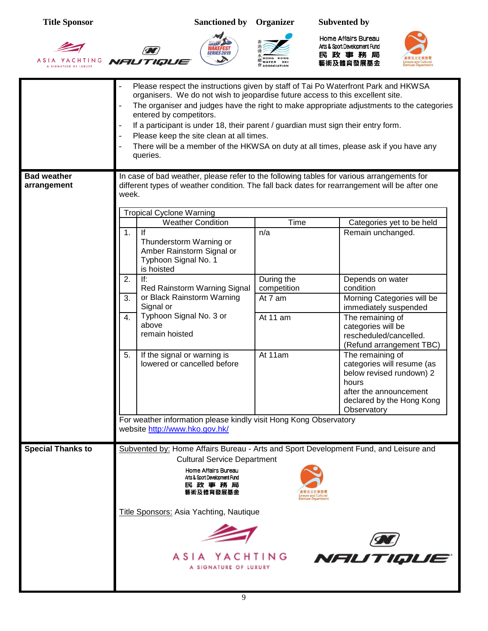





Home Affairs Bureau Arts & Sport Development Fund 民政事務局<br><sub>藝術及體育發展基金</sub>



|                                   | Please respect the instructions given by staff of Tai Po Waterfront Park and HKWSA<br>organisers. We do not wish to jeopardise future access to this excellent site.<br>The organiser and judges have the right to make appropriate adjustments to the categories<br>entered by competitors.<br>If a participant is under 18, their parent / guardian must sign their entry form.<br>Please keep the site clean at all times.<br>There will be a member of the HKWSA on duty at all times, please ask if you have any<br>queries. |                                                                            |                                                                                                                                                                                                                                                                                                                                                         |  |  |
|-----------------------------------|-----------------------------------------------------------------------------------------------------------------------------------------------------------------------------------------------------------------------------------------------------------------------------------------------------------------------------------------------------------------------------------------------------------------------------------------------------------------------------------------------------------------------------------|----------------------------------------------------------------------------|---------------------------------------------------------------------------------------------------------------------------------------------------------------------------------------------------------------------------------------------------------------------------------------------------------------------------------------------------------|--|--|
| <b>Bad weather</b><br>arrangement | In case of bad weather, please refer to the following tables for various arrangements for<br>different types of weather condition. The fall back dates for rearrangement will be after one<br>week.                                                                                                                                                                                                                                                                                                                               |                                                                            |                                                                                                                                                                                                                                                                                                                                                         |  |  |
|                                   | <b>Tropical Cyclone Warning</b><br><b>Weather Condition</b><br>1.<br>lf<br>Thunderstorm Warning or<br>Amber Rainstorm Signal or<br>Typhoon Signal No. 1<br>is hoisted<br>2.<br>If:<br>Red Rainstorm Warning Signal<br>or Black Rainstorm Warning<br>3.<br>Signal or<br>Typhoon Signal No. 3 or<br>4.<br>above<br>remain hoisted<br>5.<br>If the signal or warning is<br>lowered or cancelled before                                                                                                                               | Time<br>n/a<br>During the<br>competition<br>At 7 am<br>At 11 am<br>At 11am | Categories yet to be held<br>Remain unchanged.<br>Depends on water<br>condition<br>Morning Categories will be<br>immediately suspended<br>The remaining of<br>categories will be<br>rescheduled/cancelled.<br>(Refund arrangement TBC)<br>The remaining of<br>categories will resume (as<br>below revised rundown) 2<br>hours<br>after the announcement |  |  |
|                                   | For weather information please kindly visit Hong Kong Observatory<br>website http://www.hko.gov.hk/                                                                                                                                                                                                                                                                                                                                                                                                                               |                                                                            | declared by the Hong Kong<br>Observatory                                                                                                                                                                                                                                                                                                                |  |  |
| <b>Special Thanks to</b>          | Subvented by: Home Affairs Bureau - Arts and Sport Development Fund, and Leisure and<br><b>Cultural Service Department</b><br>Home Affairs Bureau<br>Arts & Sport Development Fund<br>民政事務局<br>藝術及體育發展基金<br>Title Sponsors: Asia Yachting, Nautique<br>ASIA YACHTING<br>A SIGNATURE OF LUXURY                                                                                                                                                                                                                                     |                                                                            | NFIUTIQUE                                                                                                                                                                                                                                                                                                                                               |  |  |